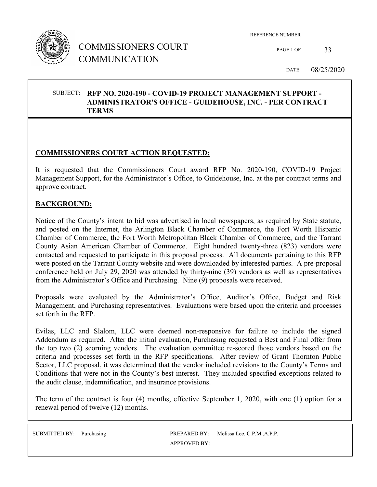

PAGE 1 OF 33

DATE: 08/25/2020

#### SUBJECT: **RFP NO. 2020-190 - COVID-19 PROJECT MANAGEMENT SUPPORT - ADMINISTRATOR'S OFFICE - GUIDEHOUSE, INC. - PER CONTRACT TERMS**

### **COMMISSIONERS COURT ACTION REQUESTED:**

It is requested that the Commissioners Court award RFP No. 2020-190, COVID-19 Project Management Support, for the Administrator's Office, to Guidehouse, Inc. at the per contract terms and approve contract.

#### **BACKGROUND:**

Notice of the County's intent to bid was advertised in local newspapers, as required by State statute, and posted on the Internet, the Arlington Black Chamber of Commerce, the Fort Worth Hispanic Chamber of Commerce, the Fort Worth Metropolitan Black Chamber of Commerce, and the Tarrant County Asian American Chamber of Commerce. Eight hundred twenty-three (823) vendors were contacted and requested to participate in this proposal process. All documents pertaining to this RFP were posted on the Tarrant County website and were downloaded by interested parties. A pre-proposal conference held on July 29, 2020 was attended by thirty-nine (39) vendors as well as representatives from the Administrator's Office and Purchasing. Nine (9) proposals were received.

Proposals were evaluated by the Administrator's Office, Auditor's Office, Budget and Risk Management, and Purchasing representatives. Evaluations were based upon the criteria and processes set forth in the RFP.

Evilas, LLC and Slalom, LLC were deemed non-responsive for failure to include the signed Addendum as required. After the initial evaluation, Purchasing requested a Best and Final offer from the top two (2) scorning vendors. The evaluation committee re-scored those vendors based on the criteria and processes set forth in the RFP specifications. After review of Grant Thornton Public Sector, LLC proposal, it was determined that the vendor included revisions to the County's Terms and Conditions that were not in the County's best interest. They included specified exceptions related to the audit clause, indemnification, and insurance provisions.

The term of the contract is four (4) months, effective September 1, 2020, with one (1) option for a renewal period of twelve (12) months.

| SUBMITTED BY: Purchasing |                     | PREPARED BY: Melissa Lee, C.P.M., A.P.P. |
|--------------------------|---------------------|------------------------------------------|
|                          | <b>APPROVED BY:</b> |                                          |